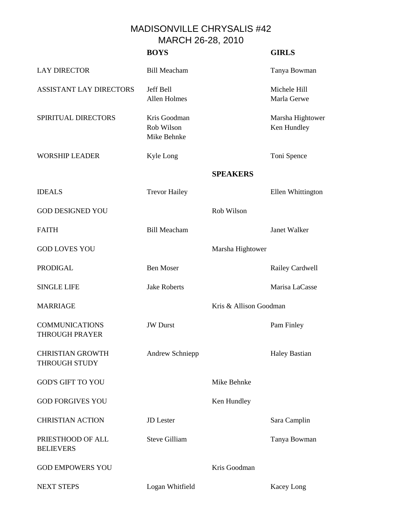MADISONVILLE CHRYSALIS #42 MARCH 26-28, 2010

|                                                 | <b>BOYS</b>                               |                        | <b>GIRLS</b>                    |
|-------------------------------------------------|-------------------------------------------|------------------------|---------------------------------|
| <b>LAY DIRECTOR</b>                             | <b>Bill Meacham</b>                       |                        | Tanya Bowman                    |
| <b>ASSISTANT LAY DIRECTORS</b>                  | Jeff Bell<br>Allen Holmes                 |                        | Michele Hill<br>Marla Gerwe     |
| SPIRITUAL DIRECTORS                             | Kris Goodman<br>Rob Wilson<br>Mike Behnke |                        | Marsha Hightower<br>Ken Hundley |
| <b>WORSHIP LEADER</b>                           | Kyle Long                                 |                        | Toni Spence                     |
|                                                 |                                           | <b>SPEAKERS</b>        |                                 |
| <b>IDEALS</b>                                   | <b>Trevor Hailey</b>                      |                        | Ellen Whittington               |
| <b>GOD DESIGNED YOU</b>                         |                                           | Rob Wilson             |                                 |
| <b>FAITH</b>                                    | <b>Bill Meacham</b>                       |                        | Janet Walker                    |
| <b>GOD LOVES YOU</b>                            |                                           | Marsha Hightower       |                                 |
| <b>PRODIGAL</b>                                 | <b>Ben Moser</b>                          |                        | Railey Cardwell                 |
| <b>SINGLE LIFE</b>                              | <b>Jake Roberts</b>                       |                        | Marisa LaCasse                  |
| <b>MARRIAGE</b>                                 |                                           | Kris & Allison Goodman |                                 |
| <b>COMMUNICATIONS</b><br><b>THROUGH PRAYER</b>  | <b>JW</b> Durst                           |                        | Pam Finley                      |
| <b>CHRISTIAN GROWTH</b><br><b>THROUGH STUDY</b> | Andrew Schniepp                           |                        | <b>Haley Bastian</b>            |
| <b>GOD'S GIFT TO YOU</b>                        |                                           | Mike Behnke            |                                 |
| <b>GOD FORGIVES YOU</b>                         |                                           | Ken Hundley            |                                 |
| <b>CHRISTIAN ACTION</b>                         | <b>JD</b> Lester                          |                        | Sara Camplin                    |
| PRIESTHOOD OF ALL<br><b>BELIEVERS</b>           | <b>Steve Gilliam</b>                      |                        | Tanya Bowman                    |
| <b>GOD EMPOWERS YOU</b>                         |                                           | Kris Goodman           |                                 |
| <b>NEXT STEPS</b>                               | Logan Whitfield                           |                        | Kacey Long                      |